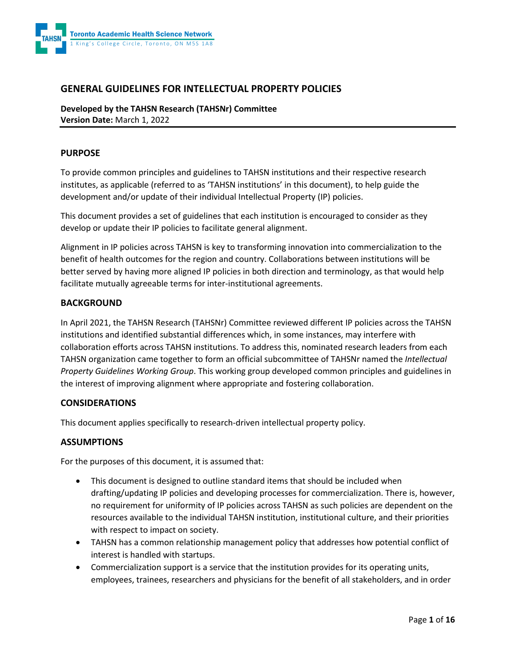

### **GENERAL GUIDELINES FOR INTELLECTUAL PROPERTY POLICIES**

**Developed by the TAHSN Research (TAHSNr) Committee Version Date:** March 1, 2022

#### **PURPOSE**

To provide common principles and guidelines to TAHSN institutions and their respective research institutes, as applicable (referred to as 'TAHSN institutions' in this document), to help guide the development and/or update of their individual Intellectual Property (IP) policies.

This document provides a set of guidelines that each institution is encouraged to consider as they develop or update their IP policies to facilitate general alignment.

Alignment in IP policies across TAHSN is key to transforming innovation into commercialization to the benefit of health outcomes for the region and country. Collaborations between institutions will be better served by having more aligned IP policies in both direction and terminology, as that would help facilitate mutually agreeable terms for inter-institutional agreements.

#### **BACKGROUND**

In April 2021, the TAHSN Research (TAHSNr) Committee reviewed different IP policies across the TAHSN institutions and identified substantial differences which, in some instances, may interfere with collaboration efforts across TAHSN institutions. To address this, nominated research leaders from each TAHSN organization came together to form an official subcommittee of TAHSNr named the *Intellectual Property Guidelines Working Group*. This working group developed common principles and guidelines in the interest of improving alignment where appropriate and fostering collaboration.

#### **CONSIDERATIONS**

This document applies specifically to research-driven intellectual property policy.

### **ASSUMPTIONS**

For the purposes of this document, it is assumed that:

- This document is designed to outline standard items that should be included when drafting/updating IP policies and developing processes for commercialization. There is, however, no requirement for uniformity of IP policies across TAHSN as such policies are dependent on the resources available to the individual TAHSN institution, institutional culture, and their priorities with respect to impact on society.
- TAHSN has a common relationship management policy that addresses how potential conflict of interest is handled with startups.
- Commercialization support is a service that the institution provides for its operating units, employees, trainees, researchers and physicians for the benefit of all stakeholders, and in order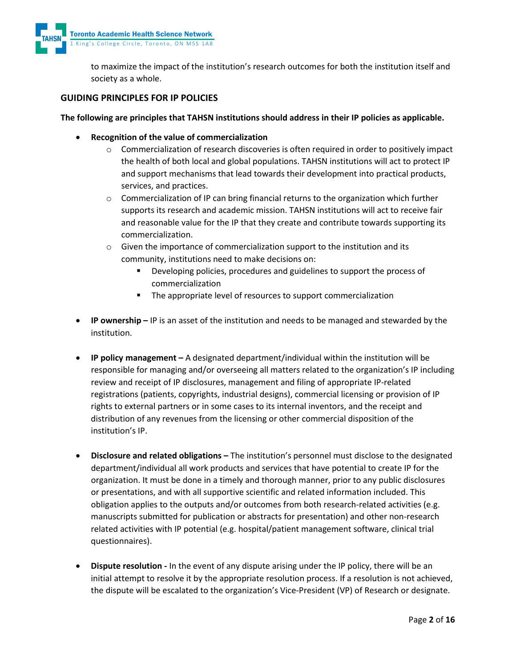

to maximize the impact of the institution's research outcomes for both the institution itself and society as a whole.

### **GUIDING PRINCIPLES FOR IP POLICIES**

#### **The following are principles that TAHSN institutions should address in their IP policies as applicable.**

- **Recognition of the value of commercialization** 
	- $\circ$  Commercialization of research discoveries is often required in order to positively impact the health of both local and global populations. TAHSN institutions will act to protect IP and support mechanisms that lead towards their development into practical products, services, and practices.
	- $\circ$  Commercialization of IP can bring financial returns to the organization which further supports its research and academic mission. TAHSN institutions will act to receive fair and reasonable value for the IP that they create and contribute towards supporting its commercialization.
	- o Given the importance of commercialization support to the institution and its community, institutions need to make decisions on:
		- Developing policies, procedures and guidelines to support the process of commercialization
		- The appropriate level of resources to support commercialization
- **IP ownership –** IP is an asset of the institution and needs to be managed and stewarded by the institution.
- **IP policy management –** A designated department/individual within the institution will be responsible for managing and/or overseeing all matters related to the organization's IP including review and receipt of IP disclosures, management and filing of appropriate IP-related registrations (patients, copyrights, industrial designs), commercial licensing or provision of IP rights to external partners or in some cases to its internal inventors, and the receipt and distribution of any revenues from the licensing or other commercial disposition of the institution's IP.
- **Disclosure and related obligations –** The institution's personnel must disclose to the designated department/individual all work products and services that have potential to create IP for the organization. It must be done in a timely and thorough manner, prior to any public disclosures or presentations, and with all supportive scientific and related information included. This obligation applies to the outputs and/or outcomes from both research-related activities (e.g. manuscripts submitted for publication or abstracts for presentation) and other non-research related activities with IP potential (e.g. hospital/patient management software, clinical trial questionnaires).
- **Dispute resolution -** In the event of any dispute arising under the IP policy, there will be an initial attempt to resolve it by the appropriate resolution process. If a resolution is not achieved, the dispute will be escalated to the organization's Vice-President (VP) of Research or designate.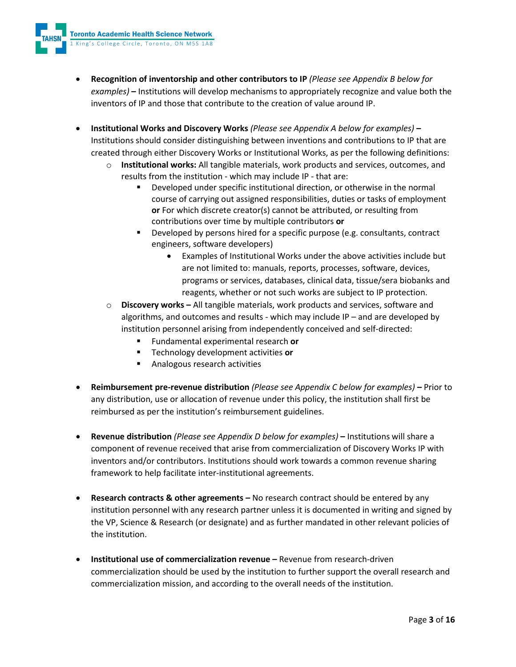- **Recognition of inventorship and other contributors to IP** *(Please see Appendix B below for examples)* **–** Institutions will develop mechanisms to appropriately recognize and value both the inventors of IP and those that contribute to the creation of value around IP.
- **Institutional Works and Discovery Works** *(Please see Appendix A below for examples)* **–** Institutions should consider distinguishing between inventions and contributions to IP that are created through either Discovery Works or Institutional Works, as per the following definitions:
	- o **Institutional works:** All tangible materials, work products and services, outcomes, and results from the institution - which may include IP - that are:
		- Developed under specific institutional direction, or otherwise in the normal course of carrying out assigned responsibilities, duties or tasks of employment **or** For which discrete creator(s) cannot be attributed, or resulting from contributions over time by multiple contributors **or**
		- Developed by persons hired for a specific purpose (e.g. consultants, contract engineers, software developers)
			- Examples of Institutional Works under the above activities include but are not limited to: manuals, reports, processes, software, devices, programs or services, databases, clinical data, tissue/sera biobanks and reagents, whether or not such works are subject to IP protection.
	- o **Discovery works –** All tangible materials, work products and services, software and algorithms, and outcomes and results - which may include IP – and are developed by institution personnel arising from independently conceived and self-directed:
		- Fundamental experimental research **or**
		- Technology development activities **or**
		- **Analogous research activities**
- **Reimbursement pre-revenue distribution** *(Please see Appendix C below for examples)* **–** Prior to any distribution, use or allocation of revenue under this policy, the institution shall first be reimbursed as per the institution's reimbursement guidelines.
- **Revenue distribution** *(Please see Appendix D below for examples)* **–** Institutions will share a component of revenue received that arise from commercialization of Discovery Works IP with inventors and/or contributors. Institutions should work towards a common revenue sharing framework to help facilitate inter-institutional agreements.
- **Research contracts & other agreements –** No research contract should be entered by any institution personnel with any research partner unless it is documented in writing and signed by the VP, Science & Research (or designate) and as further mandated in other relevant policies of the institution.
- **Institutional use of commercialization revenue –** Revenue from research-driven commercialization should be used by the institution to further support the overall research and commercialization mission, and according to the overall needs of the institution.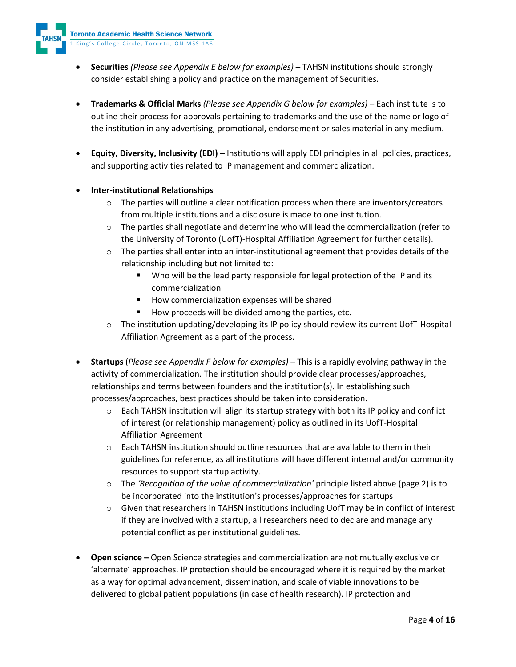- **Securities** *(Please see Appendix E below for examples)* **–** TAHSN institutions should strongly consider establishing a policy and practice on the management of Securities.
- **Trademarks & Official Marks** *(Please see Appendix G below for examples)* **–** Each institute is to outline their process for approvals pertaining to trademarks and the use of the name or logo of the institution in any advertising, promotional, endorsement or sales material in any medium.
- **Equity, Diversity, Inclusivity (EDI) –** Institutions will apply EDI principles in all policies, practices, and supporting activities related to IP management and commercialization.
- **Inter-institutional Relationships** 
	- $\circ$  The parties will outline a clear notification process when there are inventors/creators from multiple institutions and a disclosure is made to one institution.
	- o The parties shall negotiate and determine who will lead the commercialization (refer to the University of Toronto (UofT)-Hospital Affiliation Agreement for further details).
	- $\circ$  The parties shall enter into an inter-institutional agreement that provides details of the relationship including but not limited to:
		- Who will be the lead party responsible for legal protection of the IP and its commercialization
		- How commercialization expenses will be shared
		- How proceeds will be divided among the parties, etc.
	- $\circ$  The institution updating/developing its IP policy should review its current UofT-Hospital Affiliation Agreement as a part of the process.
- **Startups** (*Please see Appendix F below for examples)* **–** This is a rapidly evolving pathway in the activity of commercialization. The institution should provide clear processes/approaches, relationships and terms between founders and the institution(s). In establishing such processes/approaches, best practices should be taken into consideration.
	- $\circ$  Each TAHSN institution will align its startup strategy with both its IP policy and conflict of interest (or relationship management) policy as outlined in its UofT-Hospital Affiliation Agreement
	- o Each TAHSN institution should outline resources that are available to them in their guidelines for reference, as all institutions will have different internal and/or community resources to support startup activity.
	- o The *'Recognition of the value of commercialization'* principle listed above (page 2) is to be incorporated into the institution's processes/approaches for startups
	- $\circ$  Given that researchers in TAHSN institutions including UofT may be in conflict of interest if they are involved with a startup, all researchers need to declare and manage any potential conflict as per institutional guidelines.
- **Open science –** Open Science strategies and commercialization are not mutually exclusive or 'alternate' approaches. IP protection should be encouraged where it is required by the market as a way for optimal advancement, dissemination, and scale of viable innovations to be delivered to global patient populations (in case of health research). IP protection and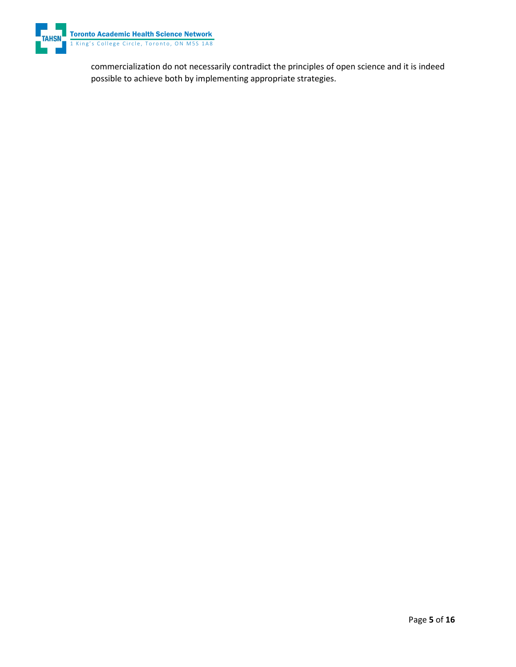

commercialization do not necessarily contradict the principles of open science and it is indeed possible to achieve both by implementing appropriate strategies.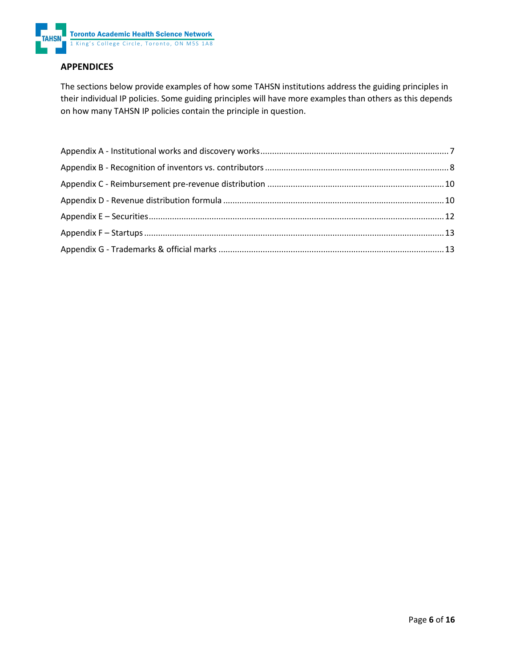

### **APPENDICES**

The sections below provide examples of how some TAHSN institutions address the guiding principles in their individual IP policies. Some guiding principles will have more examples than others as this depends on how many TAHSN IP policies contain the principle in question.

<span id="page-5-0"></span>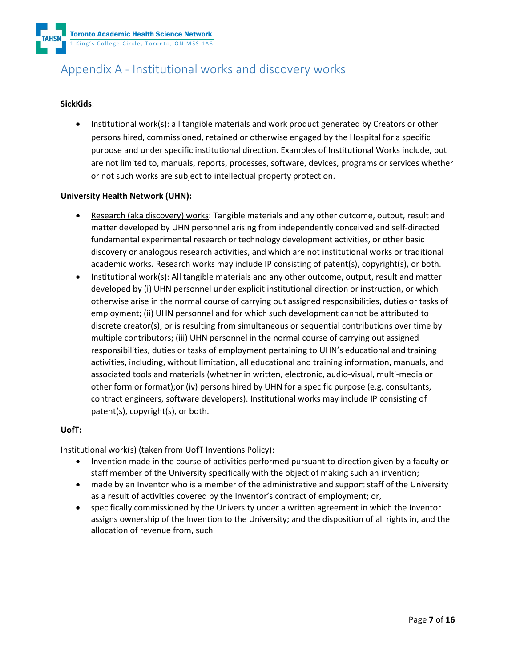Toronto Academic Health Science Network 1 King's College Circle, Toronto, ON M5S 1A8

# Appendix A - Institutional works and discovery works

### **SickKids**:

• Institutional work(s): all tangible materials and work product generated by Creators or other persons hired, commissioned, retained or otherwise engaged by the Hospital for a specific purpose and under specific institutional direction. Examples of Institutional Works include, but are not limited to, manuals, reports, processes, software, devices, programs or services whether or not such works are subject to intellectual property protection.

#### **University Health Network (UHN):**

- Research (aka discovery) works: Tangible materials and any other outcome, output, result and matter developed by UHN personnel arising from independently conceived and self-directed fundamental experimental research or technology development activities, or other basic discovery or analogous research activities, and which are not institutional works or traditional academic works. Research works may include IP consisting of patent(s), copyright(s), or both.
- Institutional work(s): All tangible materials and any other outcome, output, result and matter developed by (i) UHN personnel under explicit institutional direction or instruction, or which otherwise arise in the normal course of carrying out assigned responsibilities, duties or tasks of employment; (ii) UHN personnel and for which such development cannot be attributed to discrete creator(s), or is resulting from simultaneous or sequential contributions over time by multiple contributors; (iii) UHN personnel in the normal course of carrying out assigned responsibilities, duties or tasks of employment pertaining to UHN's educational and training activities, including, without limitation, all educational and training information, manuals, and associated tools and materials (whether in written, electronic, audio-visual, multi-media or other form or format);or (iv) persons hired by UHN for a specific purpose (e.g. consultants, contract engineers, software developers). Institutional works may include IP consisting of patent(s), copyright(s), or both.

#### **UofT:**

Institutional work(s) (taken from UofT Inventions Policy):

- Invention made in the course of activities performed pursuant to direction given by a faculty or staff member of the University specifically with the object of making such an invention;
- made by an Inventor who is a member of the administrative and support staff of the University as a result of activities covered by the Inventor's contract of employment; or,
- <span id="page-6-0"></span>• specifically commissioned by the University under a written agreement in which the Inventor assigns ownership of the Invention to the University; and the disposition of all rights in, and the allocation of revenue from, such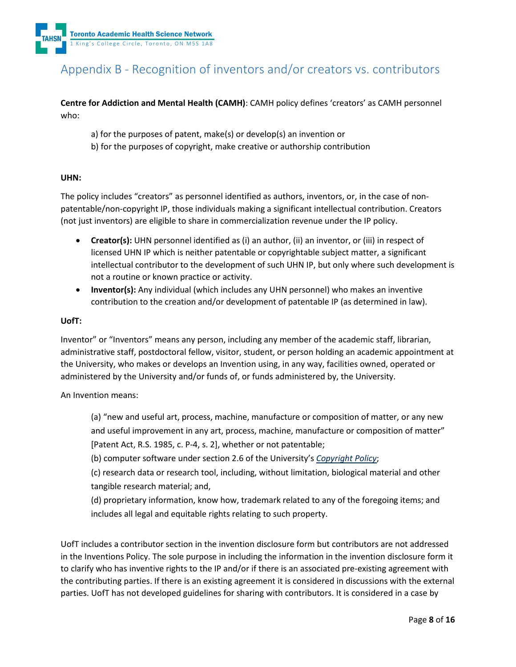

# Appendix B - Recognition of inventors and/or creators vs. contributors

**Centre for Addiction and Mental Health (CAMH)**: CAMH policy defines 'creators' as CAMH personnel who:

- a) for the purposes of patent, make(s) or develop(s) an invention or
- b) for the purposes of copyright, make creative or authorship contribution

#### **UHN:**

The policy includes "creators" as personnel identified as authors, inventors, or, in the case of nonpatentable/non-copyright IP, those individuals making a significant intellectual contribution. Creators (not just inventors) are eligible to share in commercialization revenue under the IP policy.

- **Creator(s):** UHN personnel identified as (i) an author, (ii) an inventor, or (iii) in respect of licensed UHN IP which is neither patentable or copyrightable subject matter, a significant intellectual contributor to the development of such UHN IP, but only where such development is not a routine or known practice or activity.
- **Inventor(s):** Any individual (which includes any UHN personnel) who makes an inventive contribution to the creation and/or development of patentable IP (as determined in law).

#### **UofT:**

Inventor" or "Inventors" means any person, including any member of the academic staff, librarian, administrative staff, postdoctoral fellow, visitor, student, or person holding an academic appointment at the University, who makes or develops an Invention using, in any way, facilities owned, operated or administered by the University and/or funds of, or funds administered by, the University.

An Invention means:

(a) "new and useful art, process, machine, manufacture or composition of matter, or any new and useful improvement in any art, process, machine, manufacture or composition of matter" [Patent Act, R.S. 1985, c. P-4, s. 2], whether or not patentable;

(b) computer software under section 2.6 of the University's *[Copyright Policy](https://governingcouncil.utoronto.ca/secretariat/policies/copyright-policy-february-15-2018)*;

(c) research data or research tool, including, without limitation, biological material and other tangible research material; and,

(d) proprietary information, know how, trademark related to any of the foregoing items; and includes all legal and equitable rights relating to such property.

UofT includes a contributor section in the invention disclosure form but contributors are not addressed in the Inventions Policy. The sole purpose in including the information in the invention disclosure form it to clarify who has inventive rights to the IP and/or if there is an associated pre-existing agreement with the contributing parties. If there is an existing agreement it is considered in discussions with the external parties. UofT has not developed guidelines for sharing with contributors. It is considered in a case by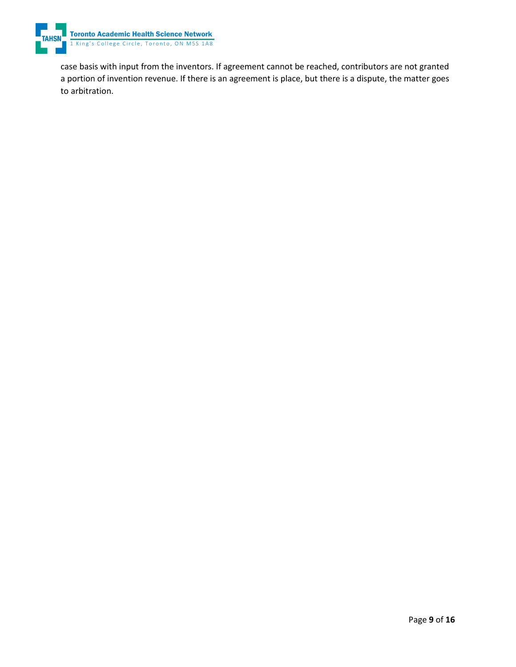

<span id="page-8-0"></span>case basis with input from the inventors. If agreement cannot be reached, contributors are not granted a portion of invention revenue. If there is an agreement is place, but there is a dispute, the matter goes to arbitration.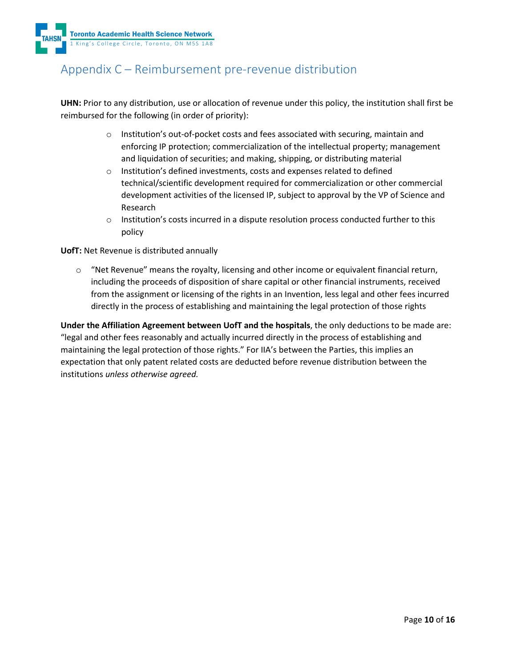

## Appendix C – Reimbursement pre-revenue distribution

<span id="page-9-0"></span>**UHN:** Prior to any distribution, use or allocation of revenue under this policy, the institution shall first be reimbursed for the following (in order of priority):

- o Institution's out-of-pocket costs and fees associated with securing, maintain and enforcing IP protection; commercialization of the intellectual property; management and liquidation of securities; and making, shipping, or distributing material
- o Institution's defined investments, costs and expenses related to defined technical/scientific development required for commercialization or other commercial development activities of the licensed IP, subject to approval by the VP of Science and Research
- $\circ$  Institution's costs incurred in a dispute resolution process conducted further to this policy

**UofT:** Net Revenue is distributed annually

 $\circ$  "Net Revenue" means the royalty, licensing and other income or equivalent financial return, including the proceeds of disposition of share capital or other financial instruments, received from the assignment or licensing of the rights in an Invention, less legal and other fees incurred directly in the process of establishing and maintaining the legal protection of those rights

**Under the Affiliation Agreement between UofT and the hospitals**, the only deductions to be made are: "legal and other fees reasonably and actually incurred directly in the process of establishing and maintaining the legal protection of those rights." For IIA's between the Parties, this implies an expectation that only patent related costs are deducted before revenue distribution between the institutions *unless otherwise agreed.*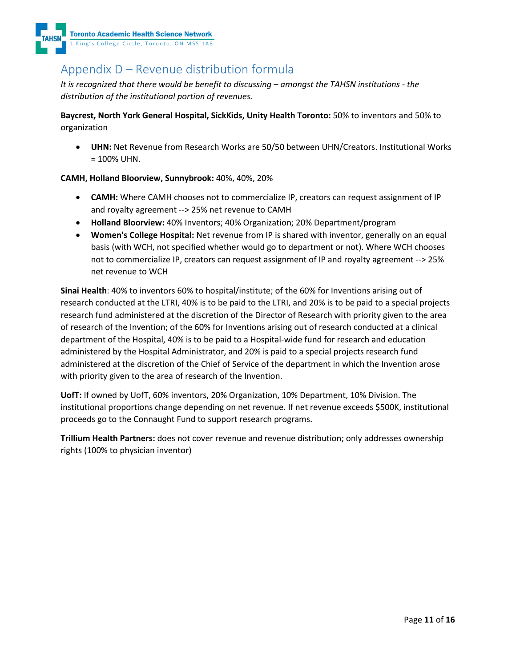

# Appendix D – Revenue distribution formula

*It is recognized that there would be benefit to discussing – amongst the TAHSN institutions - the distribution of the institutional portion of revenues.*

**Baycrest, North York General Hospital, SickKids, Unity Health Toronto:** 50% to inventors and 50% to organization

• **UHN:** Net Revenue from Research Works are 50/50 between UHN/Creators. Institutional Works  $= 100\%$  UHN.

### **CAMH, Holland Bloorview, Sunnybrook:** 40%, 40%, 20%

- **CAMH:** Where CAMH chooses not to commercialize IP, creators can request assignment of IP and royalty agreement --> 25% net revenue to CAMH
- **Holland Bloorview:** 40% Inventors; 40% Organization; 20% Department/program
- **Women's College Hospital:** Net revenue from IP is shared with inventor, generally on an equal basis (with WCH, not specified whether would go to department or not). Where WCH chooses not to commercialize IP, creators can request assignment of IP and royalty agreement --> 25% net revenue to WCH

**Sinai Health**: 40% to inventors 60% to hospital/institute; of the 60% for Inventions arising out of research conducted at the LTRI, 40% is to be paid to the LTRI, and 20% is to be paid to a special projects research fund administered at the discretion of the Director of Research with priority given to the area of research of the Invention; of the 60% for Inventions arising out of research conducted at a clinical department of the Hospital, 40% is to be paid to a Hospital-wide fund for research and education administered by the Hospital Administrator, and 20% is paid to a special projects research fund administered at the discretion of the Chief of Service of the department in which the Invention arose with priority given to the area of research of the Invention.

**UofT:** If owned by UofT, 60% inventors, 20% Organization, 10% Department, 10% Division. The institutional proportions change depending on net revenue. If net revenue exceeds \$500K, institutional proceeds go to the Connaught Fund to support research programs.

<span id="page-10-0"></span>**Trillium Health Partners:** does not cover revenue and revenue distribution; only addresses ownership rights (100% to physician inventor)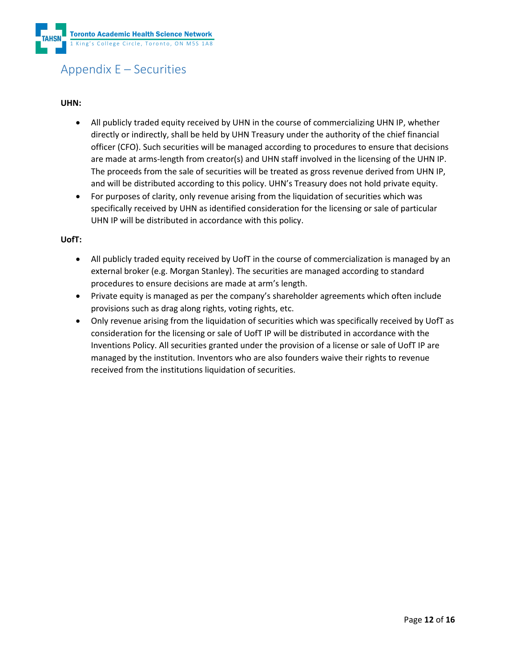

# Appendix E – Securities

#### **UHN:**

- All publicly traded equity received by UHN in the course of commercializing UHN IP, whether directly or indirectly, shall be held by UHN Treasury under the authority of the chief financial officer (CFO). Such securities will be managed according to procedures to ensure that decisions are made at arms-length from creator(s) and UHN staff involved in the licensing of the UHN IP. The proceeds from the sale of securities will be treated as gross revenue derived from UHN IP, and will be distributed according to this policy. UHN's Treasury does not hold private equity.
- For purposes of clarity, only revenue arising from the liquidation of securities which was specifically received by UHN as identified consideration for the licensing or sale of particular UHN IP will be distributed in accordance with this policy.

#### **UofT:**

- All publicly traded equity received by UofT in the course of commercialization is managed by an external broker (e.g. Morgan Stanley). The securities are managed according to standard procedures to ensure decisions are made at arm's length.
- Private equity is managed as per the company's shareholder agreements which often include provisions such as drag along rights, voting rights, etc.
- <span id="page-11-0"></span>• Only revenue arising from the liquidation of securities which was specifically received by UofT as consideration for the licensing or sale of UofT IP will be distributed in accordance with the Inventions Policy. All securities granted under the provision of a license or sale of UofT IP are managed by the institution. Inventors who are also founders waive their rights to revenue received from the institutions liquidation of securities.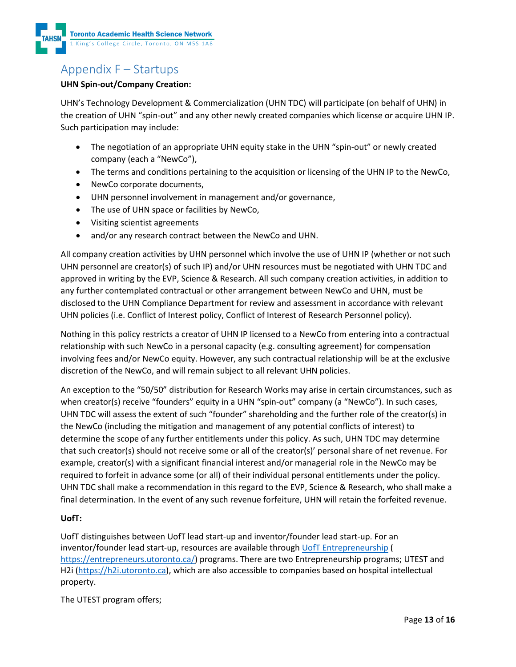

# Appendix F – Startups

### **UHN Spin-out/Company Creation:**

UHN's Technology Development & Commercialization (UHN TDC) will participate (on behalf of UHN) in the creation of UHN "spin-out" and any other newly created companies which license or acquire UHN IP. Such participation may include:

- The negotiation of an appropriate UHN equity stake in the UHN "spin-out" or newly created company (each a "NewCo"),
- The terms and conditions pertaining to the acquisition or licensing of the UHN IP to the NewCo,
- NewCo corporate documents,
- UHN personnel involvement in management and/or governance,
- The use of UHN space or facilities by NewCo,
- Visiting scientist agreements
- and/or any research contract between the NewCo and UHN.

All company creation activities by UHN personnel which involve the use of UHN IP (whether or not such UHN personnel are creator(s) of such IP) and/or UHN resources must be negotiated with UHN TDC and approved in writing by the EVP, Science & Research. All such company creation activities, in addition to any further contemplated contractual or other arrangement between NewCo and UHN, must be disclosed to the UHN Compliance Department for review and assessment in accordance with relevant UHN policies (i.e. Conflict of Interest policy, Conflict of Interest of Research Personnel policy).

Nothing in this policy restricts a creator of UHN IP licensed to a NewCo from entering into a contractual relationship with such NewCo in a personal capacity (e.g. consulting agreement) for compensation involving fees and/or NewCo equity. However, any such contractual relationship will be at the exclusive discretion of the NewCo, and will remain subject to all relevant UHN policies.

An exception to the "50/50" distribution for Research Works may arise in certain circumstances, such as when creator(s) receive "founders" equity in a UHN "spin-out" company (a "NewCo"). In such cases, UHN TDC will assess the extent of such "founder" shareholding and the further role of the creator(s) in the NewCo (including the mitigation and management of any potential conflicts of interest) to determine the scope of any further entitlements under this policy. As such, UHN TDC may determine that such creator(s) should not receive some or all of the creator(s)' personal share of net revenue. For example, creator(s) with a significant financial interest and/or managerial role in the NewCo may be required to forfeit in advance some (or all) of their individual personal entitlements under the policy. UHN TDC shall make a recommendation in this regard to the EVP, Science & Research, who shall make a final determination. In the event of any such revenue forfeiture, UHN will retain the forfeited revenue.

### <span id="page-12-0"></span>**UofT:**

UofT distinguishes between UofT lead start-up and inventor/founder lead start-up. For an inventor/founder lead start-up, resources are available through [UofT Entrepreneurship](https://entrepreneurs.utoronto.ca/) ( [https://entrepreneurs.utoronto.ca/\)](https://entrepreneurs.utoronto.ca/) programs. There are two Entrepreneurship programs; UTEST and H2i [\(https://h2i.utoronto.ca\)](https://h2i.utoronto.ca/), which are also accessible to companies based on hospital intellectual property.

The UTEST program offers;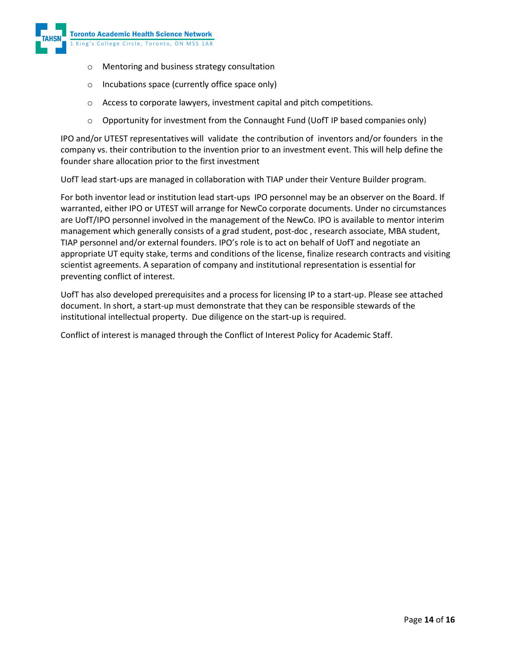

- o Mentoring and business strategy consultation
- o Incubations space (currently office space only)
- o Access to corporate lawyers, investment capital and pitch competitions.
- $\circ$  Opportunity for investment from the Connaught Fund (UofT IP based companies only)

IPO and/or UTEST representatives will validate the contribution of inventors and/or founders in the company vs. their contribution to the invention prior to an investment event. This will help define the founder share allocation prior to the first investment

UofT lead start-ups are managed in collaboration with TIAP under their Venture Builder program.

For both inventor lead or institution lead start-ups IPO personnel may be an observer on the Board. If warranted, either IPO or UTEST will arrange for NewCo corporate documents. Under no circumstances are UofT/IPO personnel involved in the management of the NewCo. IPO is available to mentor interim management which generally consists of a grad student, post-doc , research associate, MBA student, TIAP personnel and/or external founders. IPO's role is to act on behalf of UofT and negotiate an appropriate UT equity stake, terms and conditions of the license, finalize research contracts and visiting scientist agreements. A separation of company and institutional representation is essential for preventing conflict of interest.

UofT has also developed prerequisites and a process for licensing IP to a start-up. Please see attached document. In short, a start-up must demonstrate that they can be responsible stewards of the institutional intellectual property. Due diligence on the start-up is required.

Conflict of interest is managed through the Conflict of Interest Policy for Academic Staff.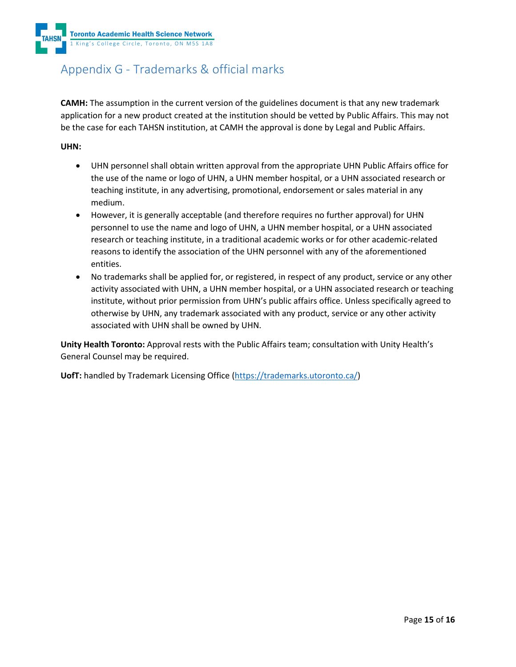Toronto Academic Health Science Network 1 King's College Circle, Toronto, ON M5S 1A8

# Appendix G - Trademarks & official marks

**CAMH:** The assumption in the current version of the guidelines document is that any new trademark application for a new product created at the institution should be vetted by Public Affairs. This may not be the case for each TAHSN institution, at CAMH the approval is done by Legal and Public Affairs.

#### **UHN:**

- UHN personnel shall obtain written approval from the appropriate UHN Public Affairs office for the use of the name or logo of UHN, a UHN member hospital, or a UHN associated research or teaching institute, in any advertising, promotional, endorsement or sales material in any medium.
- However, it is generally acceptable (and therefore requires no further approval) for UHN personnel to use the name and logo of UHN, a UHN member hospital, or a UHN associated research or teaching institute, in a traditional academic works or for other academic-related reasons to identify the association of the UHN personnel with any of the aforementioned entities.
- No trademarks shall be applied for, or registered, in respect of any product, service or any other activity associated with UHN, a UHN member hospital, or a UHN associated research or teaching institute, without prior permission from UHN's public affairs office. Unless specifically agreed to otherwise by UHN, any trademark associated with any product, service or any other activity associated with UHN shall be owned by UHN.

**Unity Health Toronto:** Approval rests with the Public Affairs team; consultation with Unity Health's General Counsel may be required.

**UofT:** handled by Trademark Licensing Office [\(https://trademarks.utoronto.ca/\)](https://trademarks.utoronto.ca/)